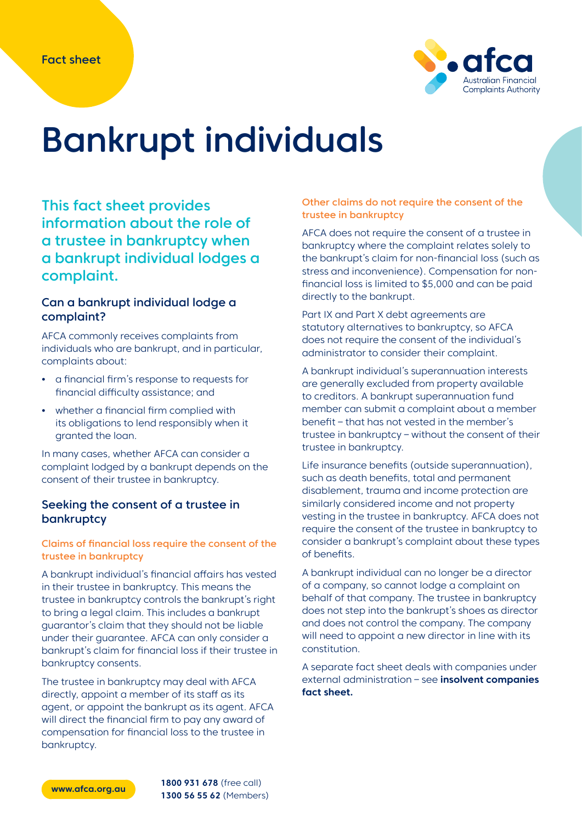

# Bankrupt individuals

This fact sheet provides information about the role of a trustee in bankruptcy when a bankrupt individual lodges a complaint.

### Can a bankrupt individual lodge a complaint?

AFCA commonly receives complaints from individuals who are bankrupt, and in particular, complaints about:

- **•** a financial firm's response to requests for financial difficulty assistance; and
- **•** whether a financial firm complied with its obligations to lend responsibly when it granted the loan.

In many cases, whether AFCA can consider a complaint lodged by a bankrupt depends on the consent of their trustee in bankruptcy.

# Seeking the consent of a trustee in bankruptcy

#### Claims of financial loss require the consent of the trustee in bankruptcy

A bankrupt individual's financial affairs has vested in their trustee in bankruptcy. This means the trustee in bankruptcy controls the bankrupt's right to bring a legal claim. This includes a bankrupt guarantor's claim that they should not be liable under their guarantee. AFCA can only consider a bankrupt's claim for financial loss if their trustee in bankruptcy consents.

The trustee in bankruptcy may deal with AFCA directly, appoint a member of its staff as its agent, or appoint the bankrupt as its agent. AFCA will direct the financial firm to pay any award of compensation for financial loss to the trustee in bankruptcy.

#### Other claims do not require the consent of the trustee in bankruptcy

AFCA does not require the consent of a trustee in bankruptcy where the complaint relates solely to the bankrupt's claim for non-financial loss (such as stress and inconvenience). Compensation for nonfinancial loss is limited to \$5,000 and can be paid directly to the bankrupt.

Part IX and Part X debt agreements are statutory alternatives to bankruptcy, so AFCA does not require the consent of the individual's administrator to consider their complaint.

A bankrupt individual's superannuation interests are generally excluded from property available to creditors. A bankrupt superannuation fund member can submit a complaint about a member benefit – that has not vested in the member's trustee in bankruptcy – without the consent of their trustee in bankruptcy.

Life insurance benefits (outside superannuation), such as death benefits, total and permanent disablement, trauma and income protection are similarly considered income and not property vesting in the trustee in bankruptcy. AFCA does not require the consent of the trustee in bankruptcy to consider a bankrupt's complaint about these types of benefits.

A bankrupt individual can no longer be a director of a company, so cannot lodge a complaint on behalf of that company. The trustee in bankruptcy does not step into the bankrupt's shoes as director and does not control the company. The company will need to appoint a new director in line with its constitution.

A separate fact sheet deals with companies under external administration – see **[insolvent companies](https://www.afca.org.au/media/936)  [fact sheet.](https://www.afca.org.au/media/936)**